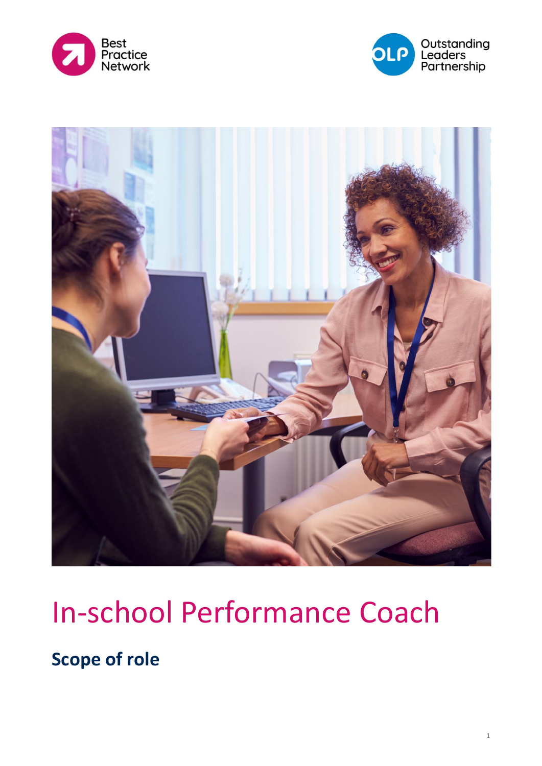





# In-school Performance Coach

**Scope of role**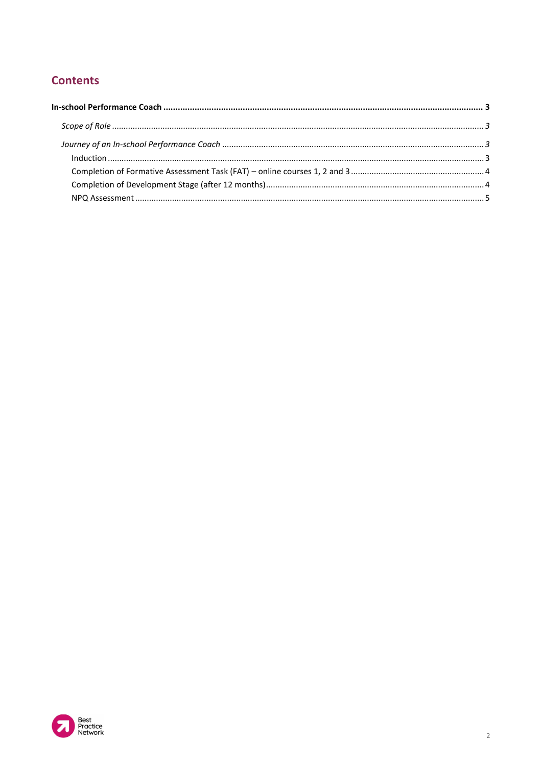## **Contents**

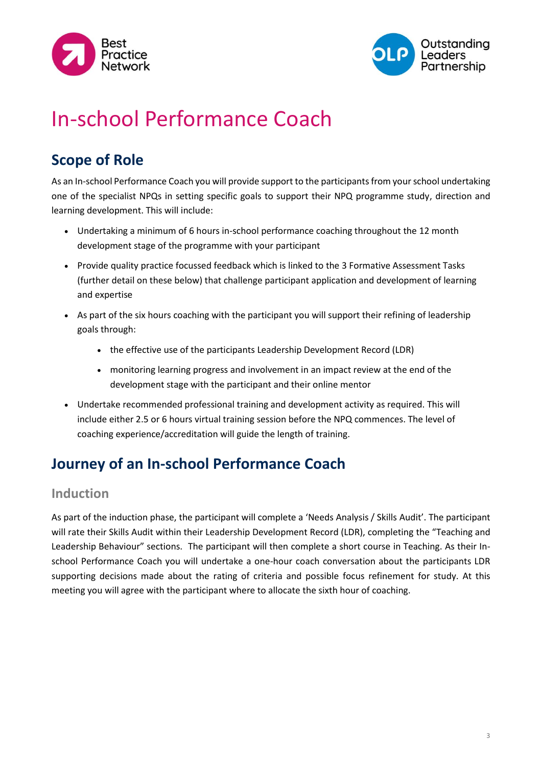



## <span id="page-2-0"></span>In-school Performance Coach

## <span id="page-2-1"></span>**Scope of Role**

As an In-school Performance Coach you will provide support to the participants from your school undertaking one of the specialist NPQs in setting specific goals to support their NPQ programme study, direction and learning development. This will include:

- Undertaking a minimum of 6 hours in-school performance coaching throughout the 12 month development stage of the programme with your participant
- Provide quality practice focussed feedback which is linked to the 3 Formative Assessment Tasks (further detail on these below) that challenge participant application and development of learning and expertise
- As part of the six hours coaching with the participant you will support their refining of leadership goals through:
	- the effective use of the participants Leadership Development Record (LDR)
	- monitoring learning progress and involvement in an impact review at the end of the development stage with the participant and their online mentor
- Undertake recommended professional training and development activity as required. This will include either 2.5 or 6 hours virtual training session before the NPQ commences. The level of coaching experience/accreditation will guide the length of training.

## <span id="page-2-2"></span>**Journey of an In-school Performance Coach**

#### <span id="page-2-3"></span>**Induction**

As part of the induction phase, the participant will complete a 'Needs Analysis / Skills Audit'. The participant will rate their Skills Audit within their Leadership Development Record (LDR), completing the "Teaching and Leadership Behaviour" sections. The participant will then complete a short course in Teaching. As their Inschool Performance Coach you will undertake a one-hour coach conversation about the participants LDR supporting decisions made about the rating of criteria and possible focus refinement for study. At this meeting you will agree with the participant where to allocate the sixth hour of coaching.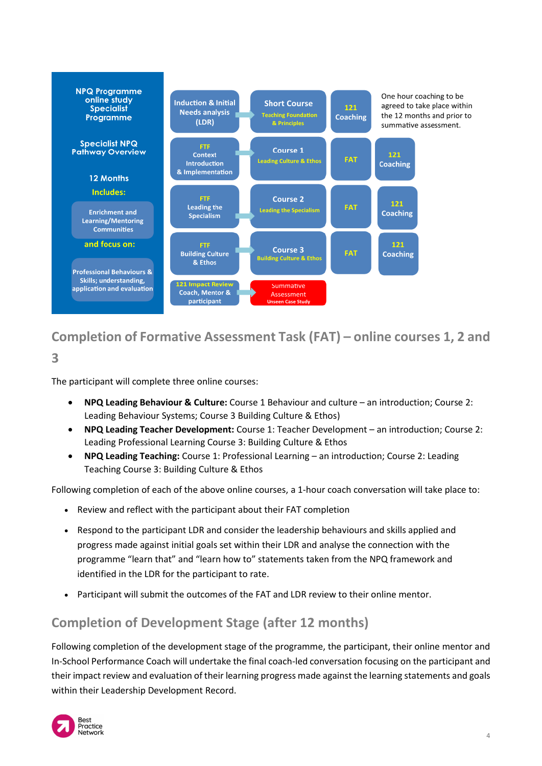

## <span id="page-3-0"></span>**Completion of Formative Assessment Task (FAT) – online courses 1, 2 and**

**3**

The participant will complete three online courses:

- **NPQ Leading Behaviour & Culture:** Course 1 Behaviour and culture an introduction; Course 2: Leading Behaviour Systems; Course 3 Building Culture & Ethos)
- **NPQ Leading Teacher Development:** Course 1: Teacher Development an introduction; Course 2: Leading Professional Learning Course 3: Building Culture & Ethos
- **NPQ Leading Teaching:** Course 1: Professional Learning an introduction; Course 2: Leading Teaching Course 3: Building Culture & Ethos

Following completion of each of the above online courses, a 1-hour coach conversation will take place to:

- Review and reflect with the participant about their FAT completion
- Respond to the participant LDR and consider the leadership behaviours and skills applied and progress made against initial goals set within their LDR and analyse the connection with the programme "learn that" and "learn how to" statements taken from the NPQ framework and identified in the LDR for the participant to rate.
- Participant will submit the outcomes of the FAT and LDR review to their online mentor.

## <span id="page-3-1"></span>**Completion of Development Stage (after 12 months)**

Following completion of the development stage of the programme, the participant, their online mentor and In-School Performance Coach will undertake the final coach-led conversation focusing on the participant and their impact review and evaluation of their learning progress made against the learning statements and goals within their Leadership Development Record.